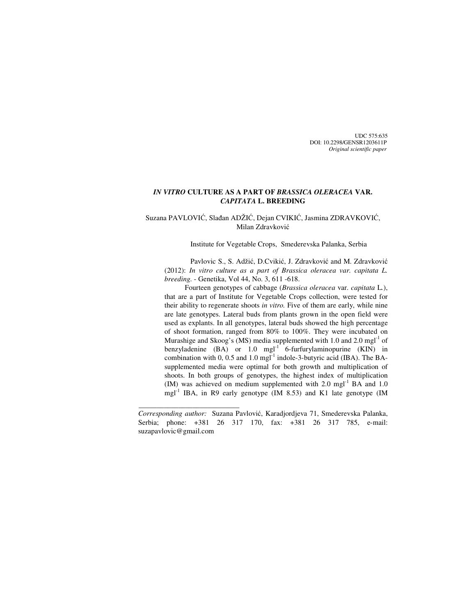UDC 575:635 DOI: 10.2298/GENSR1203611P *Original scientific paper*

# *IN VITRO* **CULTURE AS A PART OF** *BRASSICA OLERACEA* **VAR.**  *CAPITATA* **L. BREEDING**

## Suzana PAVLOVIĆ, Slađan ADŽIĆ, Dejan CVIKIĆ, Jasmina ZDRAVKOVIĆ, Milan Zdravković

### Institute for Vegetable Crops, Smederevska Palanka, Serbia

Pavlovic S., S. Adžić, D.Cvikić, J. Zdravković and M. Zdravković (2012): *In vitro culture as a part of Brassica oleracea var. capitata L. breeding.* - Genetika, Vol 44, No. 3, 611 -618.

Fourteen genotypes of cabbage (*Brassica oleracea* var. *capitata* L*.*), that are a part of Institute for Vegetable Crops collection, were tested for their ability to regenerate shoots *in vitro.* Five of them are early, while nine are late genotypes. Lateral buds from plants grown in the open field were used as explants. In all genotypes, lateral buds showed the high percentage of shoot formation, ranged from 80% to 100%. They were incubated on Murashige and Skoog's (MS) media supplemented with 1.0 and 2.0 mgl<sup>-1</sup> of benzyladenine  $(BA)$  or 1.0 mgl<sup>-1</sup> 6-furfurylaminopurine  $(KIN)$  in combination with 0, 0.5 and 1.0 mgl<sup>-1</sup> indole-3-butyric acid (IBA). The BAsupplemented media were optimal for both growth and multiplication of shoots. In both groups of genotypes, the highest index of multiplication (IM) was achieved on medium supplemented with  $2.0 \text{ mgl}^{-1}$  BA and  $1.0$ mgl<sup>-1</sup> IBA, in R9 early genotype (IM 8.53) and K1 late genotype (IM

\_\_\_\_\_\_\_\_\_\_\_\_\_\_\_\_\_\_\_\_\_\_\_\_\_\_\_\_

*Corresponding author:* Suzana Pavlović, Karadjordjeva 71, Smederevska Palanka, Serbia; phone: +381 26 317 170, fax: +381 26 317 785, e-mail: suzapavlovic@gmail.com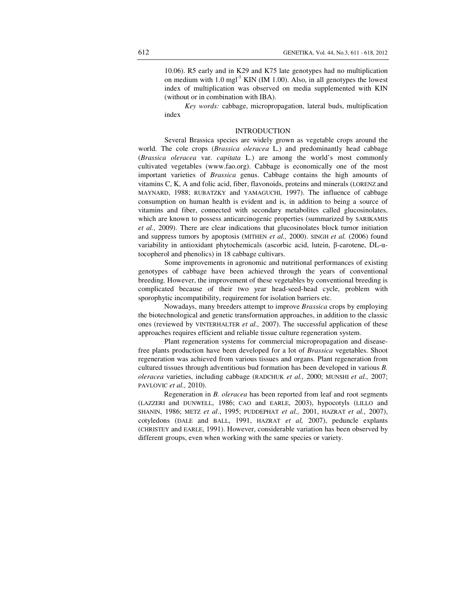10.06). R5 early and in K29 and K75 late genotypes had no multiplication on medium with  $1.0 \text{ mg}^{-1}$  KIN (IM 1.00). Also, in all genotypes the lowest index of multiplication was observed on media supplemented with KIN (without or in combination with IBA).

*Key words:* cabbage, micropropagation, lateral buds, multiplication index

### INTRODUCTION

Several Brassica species are widely grown as vegetable crops around the world. The cole crops (*Brassica oleracea* L.) and predominantly head cabbage (*Brassica oleracea* var. *capitata* L.) are among the world's most commonly cultivated vegetables (www.fao.org). Cabbage is economically one of the most important varieties of *Brassica* genus. Cabbage contains the high amounts of vitamins C, K, A and folic acid, fiber, flavonoids, proteins and minerals (LORENZ and MAYNARD, 1988; RUBATZKY and YAMAGUCHI, 1997). The influence of cabbage consumption on human health is evident and is, in addition to being a source of vitamins and fiber, connected with secondary metabolites called glucosinolates, which are known to possess anticarcinogenic properties (summarized by SARIKAMIS *et al.,* 2009). There are clear indications that glucosinolates block tumor initiation and suppress tumors by apoptosis (MITHEN *et al.,* 2000). SINGH *et al.* (2006) found variability in antioxidant phytochemicals (ascorbic acid, lutein, β-carotene, DL-αtocopherol and phenolics) in 18 cabbage cultivars.

Some improvements in agronomic and nutritional performances of existing genotypes of cabbage have been achieved through the years of conventional breeding. However, the improvement of these vegetables by conventional breeding is complicated because of their two year head-seed-head cycle, problem with sporophytic incompatibility, requirement for isolation barriers etc.

Nowadays, many breeders attempt to improve *Brassica* crops by employing the biotechnological and genetic transformation approaches, in addition to the classic ones (reviewed by VINTERHALTER *et al.,* 2007). The successful application of these approaches requires efficient and reliable tissue culture regeneration system.

Plant regeneration systems for commercial micropropagation and diseasefree plants production have been developed for a lot of *Brassica* vegetables. Shoot regeneration was achieved from various tissues and organs. Plant regeneration from cultured tissues through adventitious bud formation has been developed in various *B. oleracea* varieties, including cabbage (RADCHUK *et al.,* 2000; MUNSHI *et al.,* 2007; PAVLOVIC *et al.,* 2010).

Regeneration in *B. oleracea* has been reported from leaf and root segments (LAZZERI and DUNWELL, 1986; CAO and EARLE, 2003), hypocotyls (LILLO and SHANIN, 1986; METZ *et al*., 1995; PUDDEPHAT *et al.,* 2001, HAZRAT *et al.,* 2007), cotyledons (DALE and BALL, 1991, HAZRAT *et al,* 2007), peduncle explants (CHRISTEY and EARLE, 1991). However, considerable variation has been observed by different groups, even when working with the same species or variety.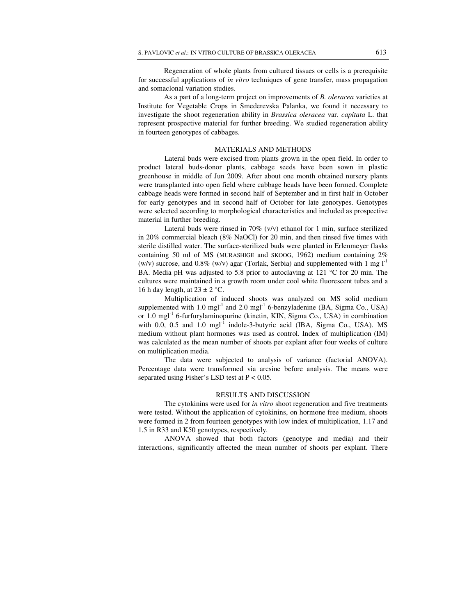Regeneration of whole plants from cultured tissues or cells is a prerequisite for successful applications of *in vitro* techniques of gene transfer, mass propagation and somaclonal variation studies.

As a part of a long-term project on improvements of *B. oleracea* varieties at Institute for Vegetable Crops in Smederevska Palanka, we found it necessary to investigate the shoot regeneration ability in *Brassica oleracea* var. *capitata* L. that represent prospective material for further breeding. We studied regeneration ability in fourteen genotypes of cabbages.

## MATERIALS AND METHODS

Lateral buds were excised from plants grown in the open field. In order to product lateral buds-donor plants, cabbage seeds have been sown in plastic greenhouse in middle of Jun 2009. After about one month obtained nursery plants were transplanted into open field where cabbage heads have been formed. Complete cabbage heads were formed in second half of September and in first half in October for early genotypes and in second half of October for late genotypes. Genotypes were selected according to morphological characteristics and included as prospective material in further breeding.

Lateral buds were rinsed in 70% (v/v) ethanol for 1 min, surface sterilized in 20% commercial bleach (8% NaOCl) for 20 min, and then rinsed five times with sterile distilled water. The surface-sterilized buds were planted in Erlenmeyer flasks containing 50 ml of MS (MURASHIGE and SKOOG, 1962) medium containing 2% (w/v) sucrose, and  $0.8\%$  (w/v) agar (Torlak, Serbia) and supplemented with 1 mg  $1^{-1}$ BA. Media pH was adjusted to 5.8 prior to autoclaving at 121  $\degree$ C for 20 min. The cultures were maintained in a growth room under cool white fluorescent tubes and a 16 h day length, at  $23 \pm 2$  °C.

Multiplication of induced shoots was analyzed on MS solid medium supplemented with 1.0 mgl<sup>-1</sup> and 2.0 mgl<sup>-1</sup> 6-benzyladenine (BA, Sigma Co., USA) or 1.0 mgl<sup>-1</sup> 6-furfurylaminopurine (kinetin, KIN, Sigma Co., USA) in combination with 0.0, 0.5 and 1.0 mgl<sup>-1</sup> indole-3-butyric acid (IBA, Sigma Co., USA). MS medium without plant hormones was used as control. Index of multiplication (IM) was calculated as the mean number of shoots per explant after four weeks of culture on multiplication media.

The data were subjected to analysis of variance (factorial ANOVA). Percentage data were transformed via arcsine before analysis. The means were separated using Fisher's LSD test at  $P < 0.05$ .

### RESULTS AND DISCUSSION

The cytokinins were used for *in vitro* shoot regeneration and five treatments were tested. Without the application of cytokinins, on hormone free medium, shoots were formed in 2 from fourteen genotypes with low index of multiplication, 1.17 and 1.5 in R33 and K50 genotypes, respectively.

ANOVA showed that both factors (genotype and media) and their interactions, significantly affected the mean number of shoots per explant. There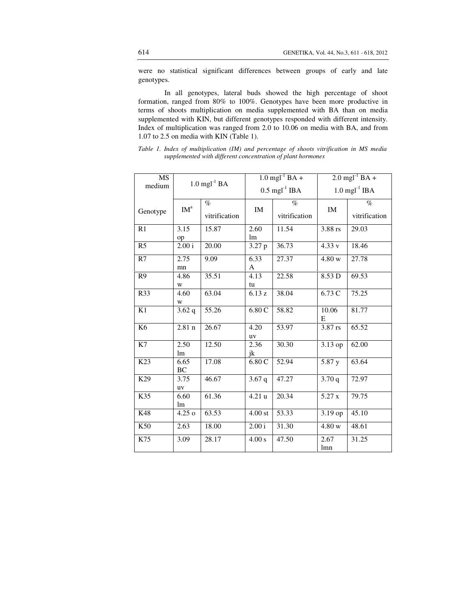were no statistical significant differences between groups of early and late genotypes.

In all genotypes, lateral buds showed the high percentage of shoot formation, ranged from 80% to 100%. Genotypes have been more productive in terms of shoots multiplication on media supplemented with BA than on media supplemented with KIN, but different genotypes responded with different intensity. Index of multiplication was ranged from 2.0 to 10.06 on media with BA, and from 1.07 to 2.5 on media with KIN (Table 1).

| MS             | $1.0$ mgl <sup>-1</sup> BA |               | $1.0$ mgl <sup>-1</sup> BA + |               | $2.0$ mgl <sup>-1</sup> BA + |               |
|----------------|----------------------------|---------------|------------------------------|---------------|------------------------------|---------------|
| medium         |                            |               | $0.5 \text{ mgl}^{-1}$ IBA   |               | $1.0 \text{ mgl}^{-1}$ IBA   |               |
|                | IM <sup>a</sup>            | $\%$          | IM                           | $\%$          | $\mathbf{IM}$                | $\%$          |
| Genotype       |                            | vitrification |                              | vitrification |                              | vitrification |
| R1             | 3.15                       | 15.87         | 2.60                         | 11.54         | 3.88 rs                      | 29.03         |
|                | op                         |               | lm                           |               |                              |               |
| R <sub>5</sub> | 2.00 i                     | 20.00         | 3.27 p                       | 36.73         | 4.33 v                       | 18.46         |
| R7             | 2.75                       | 9.09          | 6.33                         | 27.37         | 4.80 w                       | 27.78         |
|                | mn                         |               | A                            |               |                              |               |
| R <sub>9</sub> | 4.86                       | 35.51         | 4.13                         | 22.58         | 8.53 D                       | 69.53         |
|                | W                          |               | tu                           |               |                              |               |
| R33            | 4.60                       | 63.04         | 6.13 z                       | 38.04         | 6.73C                        | 75.25         |
|                | W                          |               |                              |               |                              |               |
| K1             | 3.62q                      | 55.26         | 6.80 C                       | 58.82         | 10.06<br>E                   | 81.77         |
| K <sub>6</sub> | $2.81$ n                   | 26.67         | 4.20                         | 53.97         | 3.87 rs                      | 65.52         |
|                |                            |               | uv                           |               |                              |               |
| K7             | 2.50                       | 12.50         | 2.36                         | 30.30         | 3.13 op                      | 62.00         |
|                | lm                         |               | jk                           |               |                              |               |
| K23            | 6.65<br>BC                 | 17.08         | 6.80C                        | 52.94         | 5.87y                        | 63.64         |
| K29            | 3.75<br>uv                 | 46.67         | 3.67q                        | 47.27         | 3.70q                        | 72.97         |
| K35            | 6.60<br>lm                 | 61.36         | 4.21u                        | 20.34         | 5.27 x                       | 79.75         |
| K48            | $4.25\,\mathrm{o}$         | 63.53         | $4.00$ st                    | 53.33         | 3.19 op                      | 45.10         |
| K50            | 2.63                       | 18.00         | 2.00 i                       | 31.30         | 4.80 w                       | 48.61         |
| K75            | 3.09                       | 28.17         | 4.00 s                       | 47.50         | 2.67<br>lmn                  | 31.25         |

*Table 1. Index of multiplication (IM) and percentage of shoots vitrification in MS media supplemented with different concentration of plant hormones*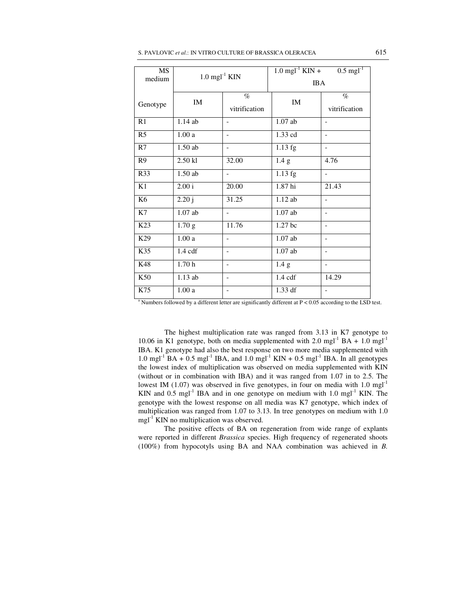| S. PAVLOVIC <i>et al</i> .: IN VITRO CULTURE OF BRASSICA OLERACEA | 615 |
|-------------------------------------------------------------------|-----|
|-------------------------------------------------------------------|-----|

| MS              | $1.0 \text{ mgl}^{-1}$ KIN |                          | $1.0 \text{ mgl}^{-1}$ KIN + | $0.5 \text{ mgl}^{-1}$   |
|-----------------|----------------------------|--------------------------|------------------------------|--------------------------|
| medium          |                            |                          | <b>IBA</b>                   |                          |
| Genotype        | IM                         | $\%$<br>vitrification    | IM                           | $\%$<br>vitrification    |
| R1              | 1.14 ab                    |                          | $1.07$ ab                    | $\overline{\phantom{a}}$ |
| R <sub>5</sub>  | 1.00a                      |                          | 1.33 cd                      | $\overline{\phantom{a}}$ |
| R7              | $1.50$ ab                  |                          | 1.13 fg                      | $\overline{\phantom{a}}$ |
| R <sub>9</sub>  | $2.50$ kl                  | 32.00                    | 1.4 <sub>g</sub>             | 4.76                     |
| R33             | $1.50$ ab                  |                          | $1.13$ fg                    | $\overline{a}$           |
| K1              | 2.00 i                     | 20.00                    | 1.87 <sub>hi</sub>           | 21.43                    |
| K <sub>6</sub>  | 2.20j                      | 31.25                    | 1.12 ab                      | $\overline{a}$           |
| K7              | $1.07$ ab                  | $\overline{\phantom{0}}$ | $1.07$ ab                    | $\overline{\phantom{a}}$ |
| K <sub>23</sub> | 1.70 <sub>g</sub>          | 11.76                    | 1.27 bc                      | $\overline{\phantom{a}}$ |
| K29             | 1.00a                      | $\overline{a}$           | $1.07$ ab                    | $\overline{\phantom{a}}$ |
| K35             | $1.4 \text{ cdf}$          | $\overline{\phantom{a}}$ | $1.07$ ab                    | $\overline{a}$           |
| K48             | 1.70h                      |                          | 1.4 g                        | $\overline{\phantom{a}}$ |
| K50             | $1.13$ ab                  |                          | $1.4 \text{ cdf}$            | 14.29                    |
| K75             | 1.00a                      | $\overline{\phantom{a}}$ | 1.33 df                      | $\overline{\phantom{a}}$ |

<sup>a</sup> Numbers followed by a different letter are significantly different at P < 0.05 according to the LSD test.

The highest multiplication rate was ranged from 3.13 in K7 genotype to 10.06 in K1 genotype, both on media supplemented with 2.0 mgl<sup>-1</sup> BA + 1.0 mgl<sup>-1</sup> IBA. K1 genotype had also the best response on two more media supplemented with 1.0 mgl<sup>-1</sup> BA + 0.5 mgl<sup>-1</sup> IBA, and 1.0 mgl<sup>-1</sup> KIN + 0.5 mgl<sup>-1</sup> IBA. In all genotypes the lowest index of multiplication was observed on media supplemented with KIN (without or in combination with IBA) and it was ranged from 1.07 in to 2.5. The lowest IM (1.07) was observed in five genotypes, in four on media with 1.0 mgl<sup>-1</sup> KIN and 0.5 mgl<sup>-1</sup> IBA and in one genotype on medium with 1.0 mgl<sup>-1</sup> KIN. The genotype with the lowest response on all media was K7 genotype, which index of multiplication was ranged from 1.07 to 3.13. In tree genotypes on medium with 1.0  $mgl<sup>-1</sup>$  KIN no multiplication was observed.

The positive effects of BA on regeneration from wide range of explants were reported in different *Brassica* species. High frequency of regenerated shoots (100%) from hypocotyls using BA and NAA combination was achieved in *B.*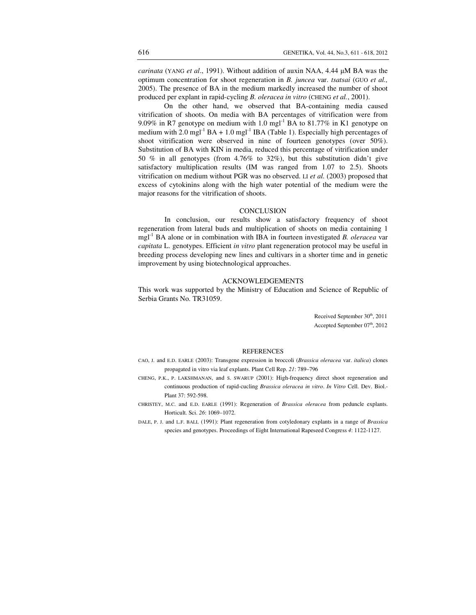*carinata* (YANG *et al*., 1991). Without addition of auxin NAA, 4.44 µM BA was the optimum concentration for shoot regeneration in *B. juncea* var. *tsatsai* (GUO *et al.,* 2005). The presence of BA in the medium markedly increased the number of shoot produced per explant in rapid-cycling *B. oleracea in vitro* (CHENG *et al.*, 2001).

On the other hand, we observed that BA-containing media caused vitrification of shoots. On media with BA percentages of vitrification were from 9.09% in R7 genotype on medium with 1.0 mgl<sup>-1</sup> BA to 81.77% in K1 genotype on medium with 2.0 mgl<sup>-1</sup> BA + 1.0 mgl<sup>-1</sup> IBA (Table 1). Especially high percentages of shoot vitrification were observed in nine of fourteen genotypes (over 50%). Substitution of BA with KIN in media, reduced this percentage of vitrification under 50 % in all genotypes (from 4.76% to 32%), but this substitution didn't give satisfactory multiplication results (IM was ranged from 1.07 to 2.5). Shoots vitrification on medium without PGR was no observed. LI *et al.* (2003) proposed that excess of cytokinins along with the high water potential of the medium were the major reasons for the vitrification of shoots.

#### **CONCLUSION**

In conclusion, our results show a satisfactory frequency of shoot regeneration from lateral buds and multiplication of shoots on media containing 1 mgl-1 BA alone or in combination with IBA in fourteen investigated *B. oleracea* var *capitata* L. genotypes. Efficient *in vitro* plant regeneration protocol may be useful in breeding process developing new lines and cultivars in a shorter time and in genetic improvement by using biotechnological approaches.

## ACKNOWLEDGEMENTS

This work was supported by the Ministry of Education and Science of Republic of Serbia Grants No. TR31059.

> Received September 30<sup>th</sup>, 2011 Accepted September 07<sup>th</sup>, 2012

### REFERENCES

- CAO, J. and E.D. EARLE (2003): Transgene expression in broccoli (*Brassica oleracea* var. *italica*) clones propagated in vitro via leaf explants. Plant Cell Rep. *21*: 789–796
- CHENG, P.K., P. LAKSHMANAN, and S. SWARUP (2001): High-frequency direct shoot regeneration and continuous production of rapid-cucling *Brassica oleracea in vitro*. *In Vitro* Cell. Dev. Biol.- Plant 37: 592-598.
- CHRISTEY, M.C. and E.D. EARLE (1991): Regeneration of *Brassica oleracea* from peduncle explants. Horticult. Sci. *26*: 1069–1072.
- DALE, P. J. and L.F. BALL (1991): Plant regeneration from cotyledonary explants in a range of *Brassica* species and genotypes. Proceedings of Eight International Rapeseed Congress *4*: 1122-1127.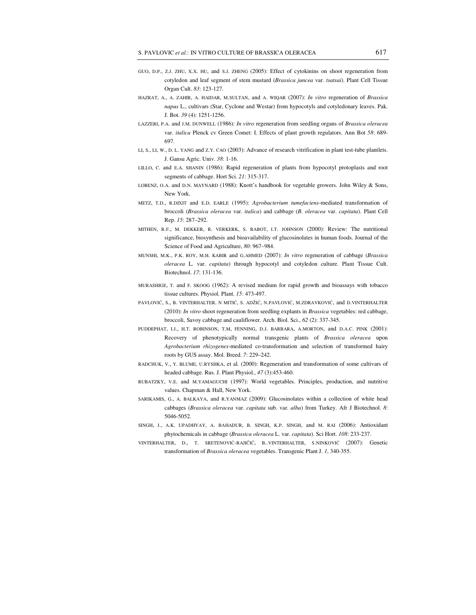- GUO, D.P., Z.J. ZHU, X.X. HU, and S.J. ZHENG (2005): Effect of cytokinins on shoot regeneration from cotyledon and leaf segment of stem mustard (*Brassica juncea* var. *tsatsai*). Plant Cell Tissue Organ Cult. *83*: 123-127.
- HAZRAT, A., A. ZAHIR, A. HAIDAR, M.SULTAN, and A. WIQAR (2007): *In vitro* regeneration of *Brassica napus* L., cultivars (Star, Cyclone and Westar) from hypocotyls and cotyledonary leaves. Pak. J. Bot. *39* (4): 1251-1256.
- LAZZERI, P.A. and J.M. DUNWELL (1986): *In vitro* regeneration from seedling organs of *Brassica oleracea*  var. *italica* Plenck cv Green Comet: I. Effects of plant growth regulators. Ann Bot *58*: 689- 697.
- LI, S., LI, W., D. L. YANG and Z.Y*.* CAO (2003): Advance of research vitrification in plant test-tube plantlets. J. Gansu Agric. Univ. *38*: 1-16.
- LILLO, C. and E.A. SHANIN (1986): Rapid regeneration of plants from hypocotyl protoplasts and root segments of cabbage. Hort Sci. *21*: 315-317.
- LORENZ, O.A. and D.N. MAYNARD (1988): Knott's handbook for vegetable growers. John Wiley & Sons, New York.
- METZ, T.D., R.DIXIT and E.D. EARLE (1995): *Agrobacterium tumefaciens*-mediated transformation of broccoli (*Brassica oleracea* var. *italica*) and cabbage (*B. oleracea* var. *capitata*). Plant Cell Rep. *15*: 287–292.
- MITHEN, R.F., M. DEKKER, R. VERKERK, S. RABOT, I.T. JOHNSON (2000): Review: The nutritional significance, biosynthesis and bioavailability of glucosinolates in human foods. Journal of the Science of Food and Agriculture, *80*: 967–984.
- MUNSHI, M.K., P.K. ROY, M.H. KABIR and G.AHMED (2007): *In vitro* regeneration of cabbage (*Brassica oleracea* L. var. *capitata*) through hypocotyl and cotyledon culture. Plant Tissue Cult. Biotechnol. *17*: 131-136.
- MURASHIGE, T. and F. SKOOG (1962): A revised medium for rapid growth and bioassays with tobacco tissue cultures. Physiol. Plant. *15*: 473-497.
- PAVLOVIĆ, S., B. VINTERHALTER. N MITIĆ, S. ADŽIĆ, N.PAVLOVIĆ, M.ZDRAVKOVIĆ, and D.VINTERHALTER (2010): *In vitro* shoot regeneration from seedling explants in *Brassica* vegetables: red cabbage, broccoli, Savoy cabbage and cauliflower. Arch. Biol. Sci., *62* (2): 337-345.
- PUDDEPHAT, I.J., H.T. ROBINSON, T.M, FENNING, D.J. BARBARA, A.MORTON, and D.A.C. PINK (2001): Recovery of phenotypically normal transgenic plants of *Brassica oleracea* upon *Agrobacterium rhizogenes*-mediated co-transformation and selection of transformed hairy roots by GUS assay. Mol. Breed. *7*: 229–242.
- RADCHUK, V., Y. BLUME*,* U.RYSHKA, et al. (2000): Regeneration and transformation of some cultivars of headed cabbage. Rus. J. Plant Physiol., *47* (3):453-460.
- RUBATZKY, V.E. and M.YAMAGUCHI (1997): World vegetables. Principles, production, and nutritive values. Chapman & Hall, New York.
- SARIKAMIS, G., A. BALKAYA, and R.YANMAZ (2009): Glucosinolates within a collection of white head cabbages (*Brassica oleracea* var. *capitata* sub. var. *alba*) from Turkey. Afr J Biotechnol. *8*: 5046-5052.
- SINGH, J., A.K. UPADHYAY, A. BAHADUR, B. SINGH, K.P. SINGH, and M. RAI (2006): Antioxidant phytochemicals in cabbage (*Brassica oleracea* L. var. *capitata*). Sci Hort. *108*: 233-237.
- VINTERHALTER, D., T. SRETENOVIĆ-RAJIČIĆ, B..VINTERHALTER, S.NINKOVIĆ (2007): Genetic transformation of *Brassica oleracea* vegetables. Transgenic Plant J. *1*, 340-355.